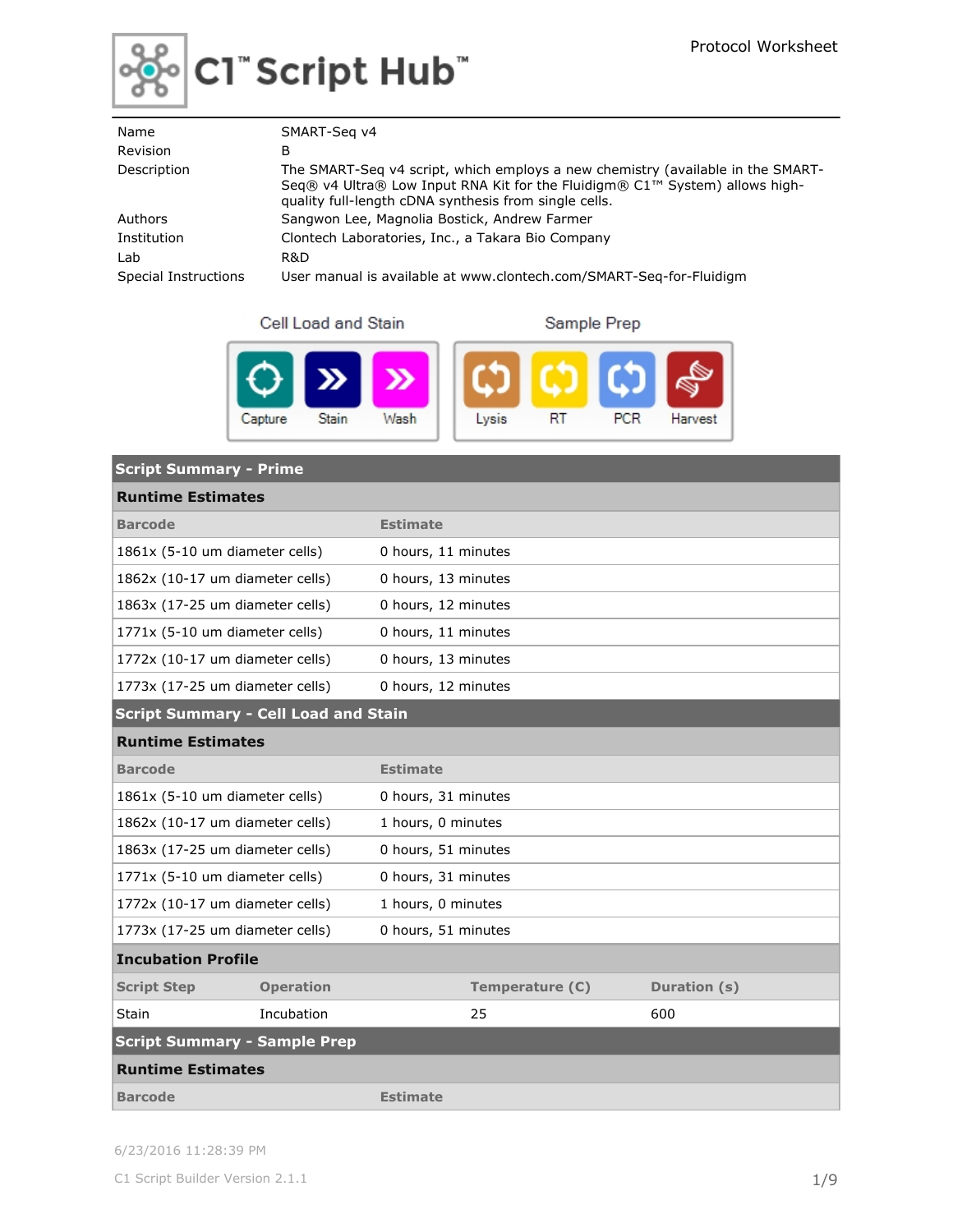

# ြော်<br>တိုင်း Script Hub໊

| Name                 | SMART-Seg v4                                                                                                                                                                                                            |
|----------------------|-------------------------------------------------------------------------------------------------------------------------------------------------------------------------------------------------------------------------|
| <b>Revision</b>      | В                                                                                                                                                                                                                       |
| Description          | The SMART-Seq v4 script, which employs a new chemistry (available in the SMART-<br>Seq® v4 Ultra® Low Input RNA Kit for the Fluidigm® C1™ System) allows high-<br>quality full-length cDNA synthesis from single cells. |
| Authors              | Sangwon Lee, Magnolia Bostick, Andrew Farmer                                                                                                                                                                            |
| Institution          | Clontech Laboratories, Inc., a Takara Bio Company                                                                                                                                                                       |
| Lab                  | R&D                                                                                                                                                                                                                     |
| Special Instructions | User manual is available at www.clontech.com/SMART-Seg-for-Fluidigm                                                                                                                                                     |

Cell Load and Stain

Sample Prep



| <b>Script Summary - Prime</b>               |                  |                     |                 |              |  |  |
|---------------------------------------------|------------------|---------------------|-----------------|--------------|--|--|
| <b>Runtime Estimates</b>                    |                  |                     |                 |              |  |  |
| <b>Barcode</b>                              |                  | <b>Estimate</b>     |                 |              |  |  |
| 1861x (5-10 um diameter cells)              |                  | 0 hours, 11 minutes |                 |              |  |  |
| 1862x (10-17 um diameter cells)             |                  | 0 hours, 13 minutes |                 |              |  |  |
| 1863x (17-25 um diameter cells)             |                  | 0 hours, 12 minutes |                 |              |  |  |
| 1771x (5-10 um diameter cells)              |                  | 0 hours, 11 minutes |                 |              |  |  |
| 1772x (10-17 um diameter cells)             |                  | 0 hours, 13 minutes |                 |              |  |  |
| 1773x (17-25 um diameter cells)             |                  | 0 hours, 12 minutes |                 |              |  |  |
| <b>Script Summary - Cell Load and Stain</b> |                  |                     |                 |              |  |  |
| <b>Runtime Estimates</b>                    |                  |                     |                 |              |  |  |
| <b>Barcode</b>                              |                  | <b>Estimate</b>     |                 |              |  |  |
| 1861x (5-10 um diameter cells)              |                  | 0 hours, 31 minutes |                 |              |  |  |
| 1862x (10-17 um diameter cells)             |                  | 1 hours, 0 minutes  |                 |              |  |  |
| 1863x (17-25 um diameter cells)             |                  | 0 hours, 51 minutes |                 |              |  |  |
| 1771x (5-10 um diameter cells)              |                  | 0 hours, 31 minutes |                 |              |  |  |
| 1772x (10-17 um diameter cells)             |                  | 1 hours, 0 minutes  |                 |              |  |  |
| 1773x (17-25 um diameter cells)             |                  | 0 hours, 51 minutes |                 |              |  |  |
| <b>Incubation Profile</b>                   |                  |                     |                 |              |  |  |
| <b>Script Step</b>                          | <b>Operation</b> |                     | Temperature (C) | Duration (s) |  |  |
| Stain                                       | Incubation       |                     | 25              | 600          |  |  |
| <b>Script Summary - Sample Prep</b>         |                  |                     |                 |              |  |  |
| <b>Runtime Estimates</b>                    |                  |                     |                 |              |  |  |
| <b>Barcode</b>                              |                  | <b>Estimate</b>     |                 |              |  |  |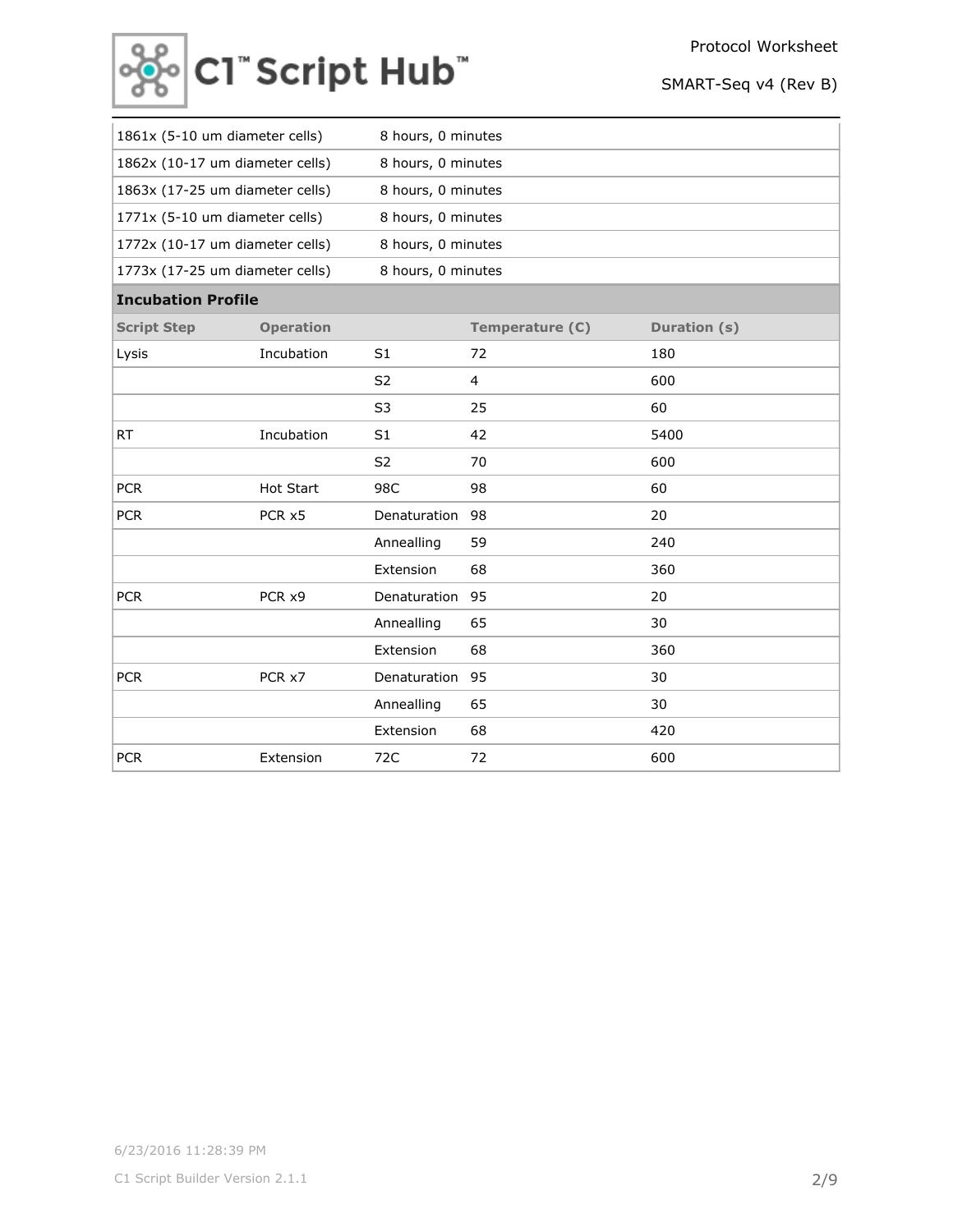

| 1861x (5-10 um diameter cells)  |                  | 8 hours, 0 minutes |                 |              |
|---------------------------------|------------------|--------------------|-----------------|--------------|
| 1862x (10-17 um diameter cells) |                  | 8 hours, 0 minutes |                 |              |
| 1863x (17-25 um diameter cells) |                  | 8 hours, 0 minutes |                 |              |
| 1771x (5-10 um diameter cells)  |                  | 8 hours, 0 minutes |                 |              |
| 1772x (10-17 um diameter cells) |                  | 8 hours, 0 minutes |                 |              |
| 1773x (17-25 um diameter cells) |                  | 8 hours, 0 minutes |                 |              |
| <b>Incubation Profile</b>       |                  |                    |                 |              |
| <b>Script Step</b>              | <b>Operation</b> |                    | Temperature (C) | Duration (s) |
| Lysis                           | Incubation       | S <sub>1</sub>     | 72              | 180          |
|                                 |                  | S <sub>2</sub>     | 4               | 600          |
|                                 |                  | S <sub>3</sub>     | 25              | 60           |
| <b>RT</b>                       | Incubation       | S <sub>1</sub>     | 42              | 5400         |
|                                 |                  | S <sub>2</sub>     | 70              | 600          |
| <b>PCR</b>                      | Hot Start        | 98C                | 98              | 60           |
| <b>PCR</b>                      | PCR x5           | Denaturation       | 98              | 20           |
|                                 |                  | Annealling         | 59              | 240          |
|                                 |                  | Extension          | 68              | 360          |
| <b>PCR</b>                      | PCR x9           | Denaturation       | 95              | 20           |
|                                 |                  | Annealling         | 65              | 30           |
|                                 |                  | Extension          | 68              | 360          |
| <b>PCR</b>                      | PCR x7           | Denaturation       | 95              | 30           |
|                                 |                  | Annealling         | 65              | 30           |
|                                 |                  | Extension          | 68              | 420          |
| <b>PCR</b>                      | Extension        | 72C                | 72              | 600          |
|                                 |                  |                    |                 |              |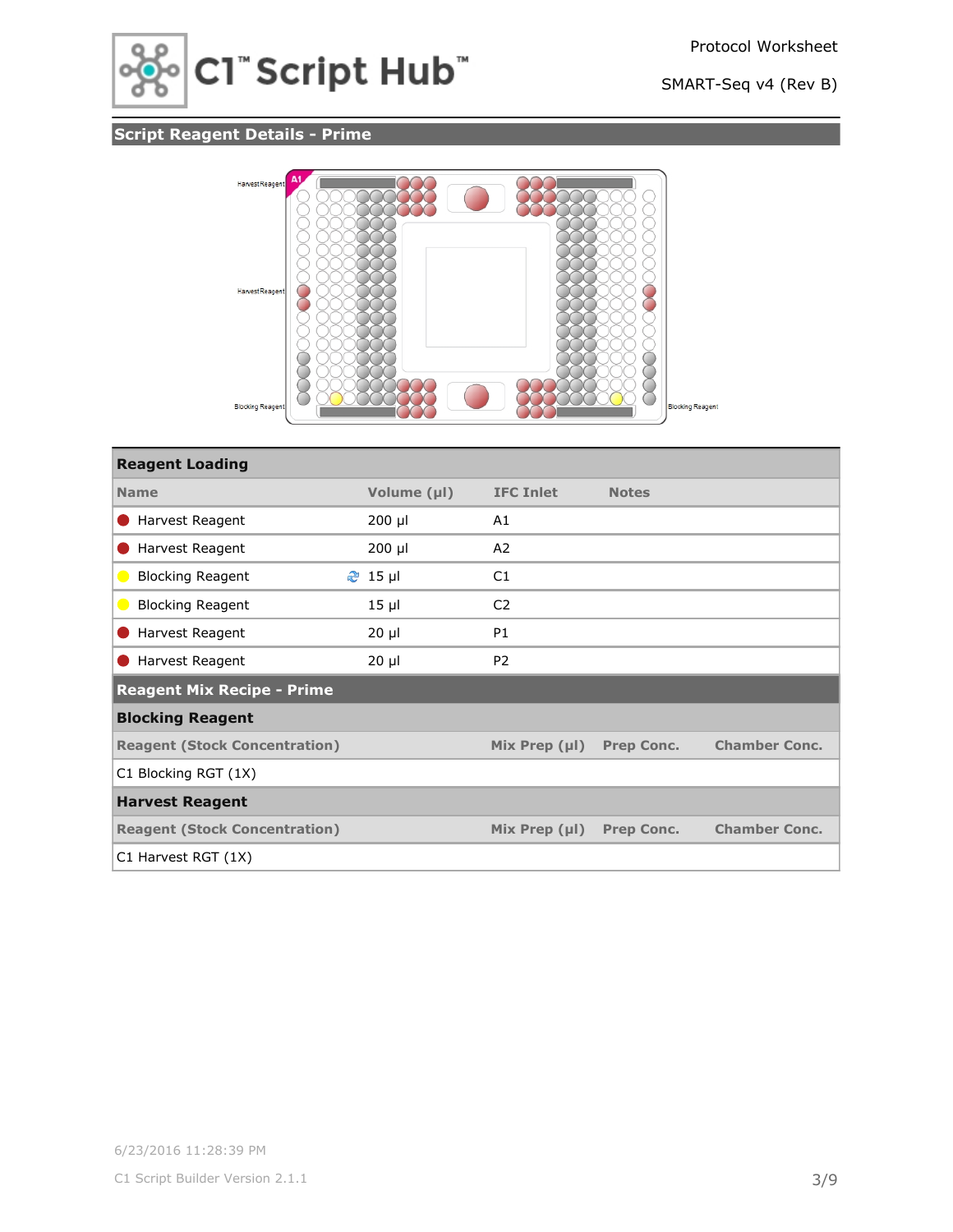

# **Script Reagent Details - Prime**



| <b>Reagent Loading</b>               |                |                    |                   |                      |
|--------------------------------------|----------------|--------------------|-------------------|----------------------|
| <b>Name</b>                          | Volume (µl)    | <b>IFC Inlet</b>   | <b>Notes</b>      |                      |
| Harvest Reagent                      | $200$ µl       | A1                 |                   |                      |
| Harvest Reagent                      | $200$ µl       | A2                 |                   |                      |
| <b>Blocking Reagent</b><br>$\bullet$ | <b>֎</b> 15 µl | C1                 |                   |                      |
| <b>Blocking Reagent</b><br>$\bullet$ | $15 \mu$       | C <sub>2</sub>     |                   |                      |
| Harvest Reagent                      | $20 \mu$       | <b>P1</b>          |                   |                      |
| Harvest Reagent                      | $20 \mu$       | P <sub>2</sub>     |                   |                      |
| <b>Reagent Mix Recipe - Prime</b>    |                |                    |                   |                      |
| <b>Blocking Reagent</b>              |                |                    |                   |                      |
| <b>Reagent (Stock Concentration)</b> |                | Mix Prep $(\mu I)$ | <b>Prep Conc.</b> | <b>Chamber Conc.</b> |
| C1 Blocking RGT (1X)                 |                |                    |                   |                      |
| <b>Harvest Reagent</b>               |                |                    |                   |                      |
| <b>Reagent (Stock Concentration)</b> |                | Mix Prep $(\mu I)$ | <b>Prep Conc.</b> | <b>Chamber Conc.</b> |
| C1 Harvest RGT (1X)                  |                |                    |                   |                      |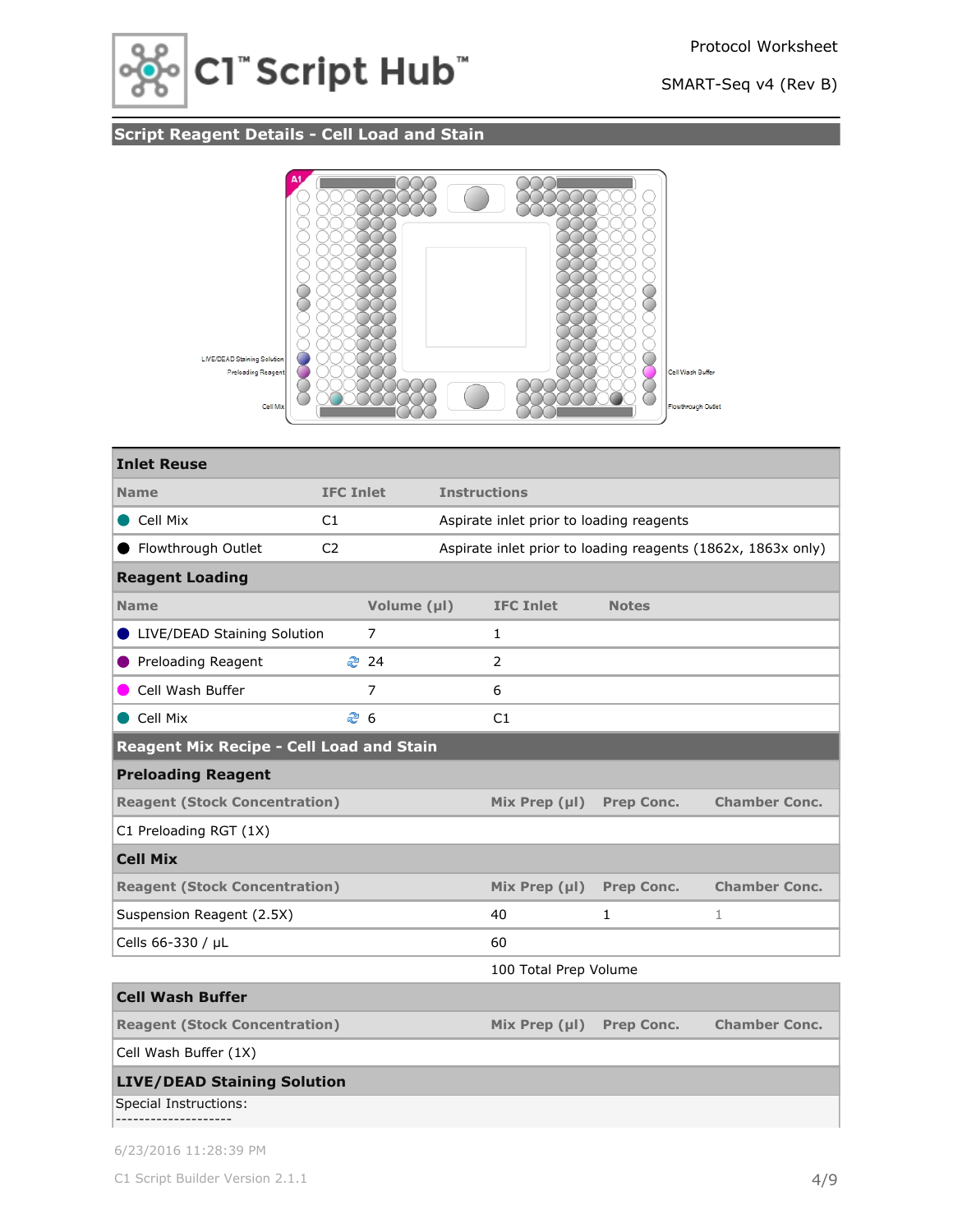



# **Script Reagent Details - Cell Load and Stain**



| <b>Inlet Reuse</b>                              |                  |                |                     |                                          |                   |                                                              |
|-------------------------------------------------|------------------|----------------|---------------------|------------------------------------------|-------------------|--------------------------------------------------------------|
| <b>Name</b>                                     | <b>IFC Inlet</b> |                | <b>Instructions</b> |                                          |                   |                                                              |
| Cell Mix                                        | C1               |                |                     | Aspirate inlet prior to loading reagents |                   |                                                              |
| Flowthrough Outlet                              | C <sub>2</sub>   |                |                     |                                          |                   | Aspirate inlet prior to loading reagents (1862x, 1863x only) |
| <b>Reagent Loading</b>                          |                  |                |                     |                                          |                   |                                                              |
| <b>Name</b>                                     |                  | Volume (µl)    |                     | <b>IFC Inlet</b>                         | <b>Notes</b>      |                                                              |
| LIVE/DEAD Staining Solution                     |                  | 7              |                     | 1                                        |                   |                                                              |
| Preloading Reagent                              |                  | ₹ 24           |                     | $\overline{2}$                           |                   |                                                              |
| Cell Wash Buffer                                |                  | $\overline{7}$ |                     | 6                                        |                   |                                                              |
| Cell Mix                                        | ළ 6              |                |                     | C1                                       |                   |                                                              |
| <b>Reagent Mix Recipe - Cell Load and Stain</b> |                  |                |                     |                                          |                   |                                                              |
| <b>Preloading Reagent</b>                       |                  |                |                     |                                          |                   |                                                              |
| <b>Reagent (Stock Concentration)</b>            |                  |                |                     | Mix Prep $(\mu I)$                       | <b>Prep Conc.</b> | <b>Chamber Conc.</b>                                         |
| C1 Preloading RGT (1X)                          |                  |                |                     |                                          |                   |                                                              |
| <b>Cell Mix</b>                                 |                  |                |                     |                                          |                   |                                                              |
| <b>Reagent (Stock Concentration)</b>            |                  |                |                     | Mix Prep $(\mu I)$                       | <b>Prep Conc.</b> | <b>Chamber Conc.</b>                                         |
| Suspension Reagent (2.5X)                       |                  |                |                     | 40                                       | 1                 | 1                                                            |
| Cells 66-330 / µL                               |                  |                |                     | 60                                       |                   |                                                              |
|                                                 |                  |                |                     | 100 Total Prep Volume                    |                   |                                                              |
| <b>Cell Wash Buffer</b>                         |                  |                |                     |                                          |                   |                                                              |
| <b>Reagent (Stock Concentration)</b>            |                  |                |                     | Mix Prep $(\mu I)$                       | <b>Prep Conc.</b> | <b>Chamber Conc.</b>                                         |
| Cell Wash Buffer (1X)                           |                  |                |                     |                                          |                   |                                                              |
| <b>LIVE/DEAD Staining Solution</b>              |                  |                |                     |                                          |                   |                                                              |
| Special Instructions:                           |                  |                |                     |                                          |                   |                                                              |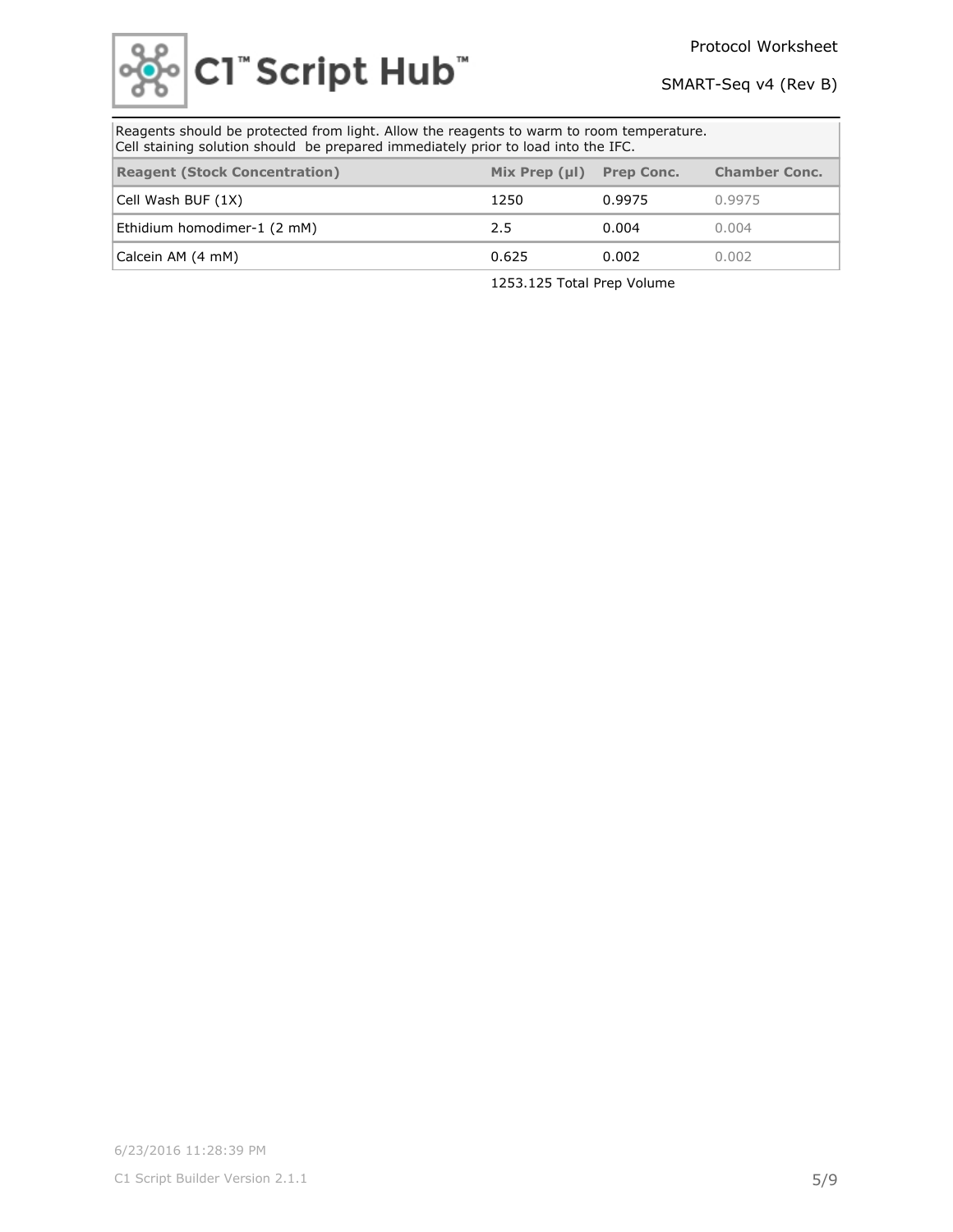

| Reagents should be protected from light. Allow the reagents to warm to room temperature.<br>Cell staining solution should be prepared immediately prior to load into the IFC. |                    |                   |                      |  |
|-------------------------------------------------------------------------------------------------------------------------------------------------------------------------------|--------------------|-------------------|----------------------|--|
| <b>Reagent (Stock Concentration)</b>                                                                                                                                          | Mix Prep $(\mu I)$ | <b>Prep Conc.</b> | <b>Chamber Conc.</b> |  |
| Cell Wash BUF (1X)                                                                                                                                                            | 1250               | 0.9975            | 0.9975               |  |
| Ethidium homodimer-1 (2 mM)                                                                                                                                                   | 2.5                | 0.004             | 0.004                |  |
| Calcein AM (4 mM)                                                                                                                                                             | 0.625              | 0.002             | 0.002                |  |

1253.125 Total Prep Volume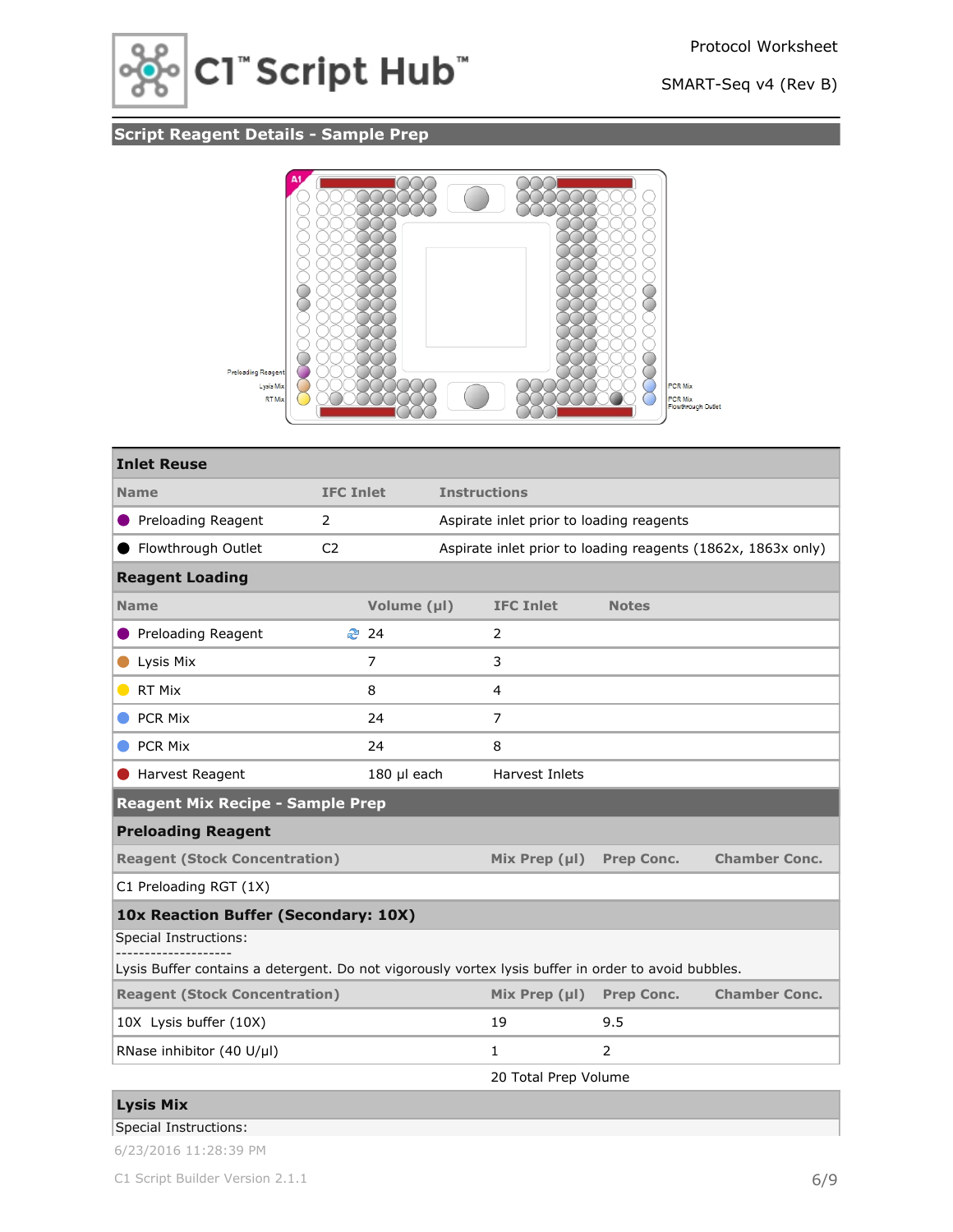

# **Script Reagent Details - Sample Prep**



| <b>Inlet Reuse</b>                                                                                  |                  |             |                     |                                          |                   |                                                              |
|-----------------------------------------------------------------------------------------------------|------------------|-------------|---------------------|------------------------------------------|-------------------|--------------------------------------------------------------|
| <b>Name</b>                                                                                         | <b>IFC Inlet</b> |             | <b>Instructions</b> |                                          |                   |                                                              |
| Preloading Reagent                                                                                  | $\overline{2}$   |             |                     | Aspirate inlet prior to loading reagents |                   |                                                              |
| Flowthrough Outlet                                                                                  | C <sub>2</sub>   |             |                     |                                          |                   | Aspirate inlet prior to loading reagents (1862x, 1863x only) |
| <b>Reagent Loading</b>                                                                              |                  |             |                     |                                          |                   |                                                              |
| <b>Name</b>                                                                                         |                  | Volume (µl) |                     | <b>IFC Inlet</b>                         | <b>Notes</b>      |                                                              |
| <b>Preloading Reagent</b>                                                                           |                  | ₹ 24        |                     | 2                                        |                   |                                                              |
| Lysis Mix                                                                                           |                  | 7           |                     | 3                                        |                   |                                                              |
| RT Mix<br>$\blacksquare$                                                                            |                  | 8           |                     | 4                                        |                   |                                                              |
| <b>PCR Mix</b>                                                                                      |                  | 24          |                     | 7                                        |                   |                                                              |
| <b>PCR Mix</b>                                                                                      |                  | 24          |                     | 8                                        |                   |                                                              |
| Harvest Reagent                                                                                     |                  | 180 µl each |                     | Harvest Inlets                           |                   |                                                              |
| <b>Reagent Mix Recipe - Sample Prep</b>                                                             |                  |             |                     |                                          |                   |                                                              |
| <b>Preloading Reagent</b>                                                                           |                  |             |                     |                                          |                   |                                                              |
| <b>Reagent (Stock Concentration)</b>                                                                |                  |             |                     | Mix Prep $(\mu I)$                       | <b>Prep Conc.</b> | <b>Chamber Conc.</b>                                         |
| C1 Preloading RGT (1X)                                                                              |                  |             |                     |                                          |                   |                                                              |
| 10x Reaction Buffer (Secondary: 10X)                                                                |                  |             |                     |                                          |                   |                                                              |
| Special Instructions:                                                                               |                  |             |                     |                                          |                   |                                                              |
| Lysis Buffer contains a detergent. Do not vigorously vortex lysis buffer in order to avoid bubbles. |                  |             |                     |                                          |                   |                                                              |
| <b>Reagent (Stock Concentration)</b>                                                                |                  |             |                     | Mix Prep $(\mu I)$                       | <b>Prep Conc.</b> | <b>Chamber Conc.</b>                                         |
| 10X Lysis buffer (10X)                                                                              |                  |             |                     | 19                                       | 9.5               |                                                              |
| RNase inhibitor (40 U/µl)                                                                           |                  |             |                     | 1                                        | 2                 |                                                              |
| $\sim$ $\sim$ $\sim$ $\sim$ $\sim$ $\sim$                                                           |                  |             |                     | 20 Total Prep Volume                     |                   |                                                              |

### Special Instructions: **Lysis Mix**

| 6/23/2016 11:28:39 PM |  |  |  |
|-----------------------|--|--|--|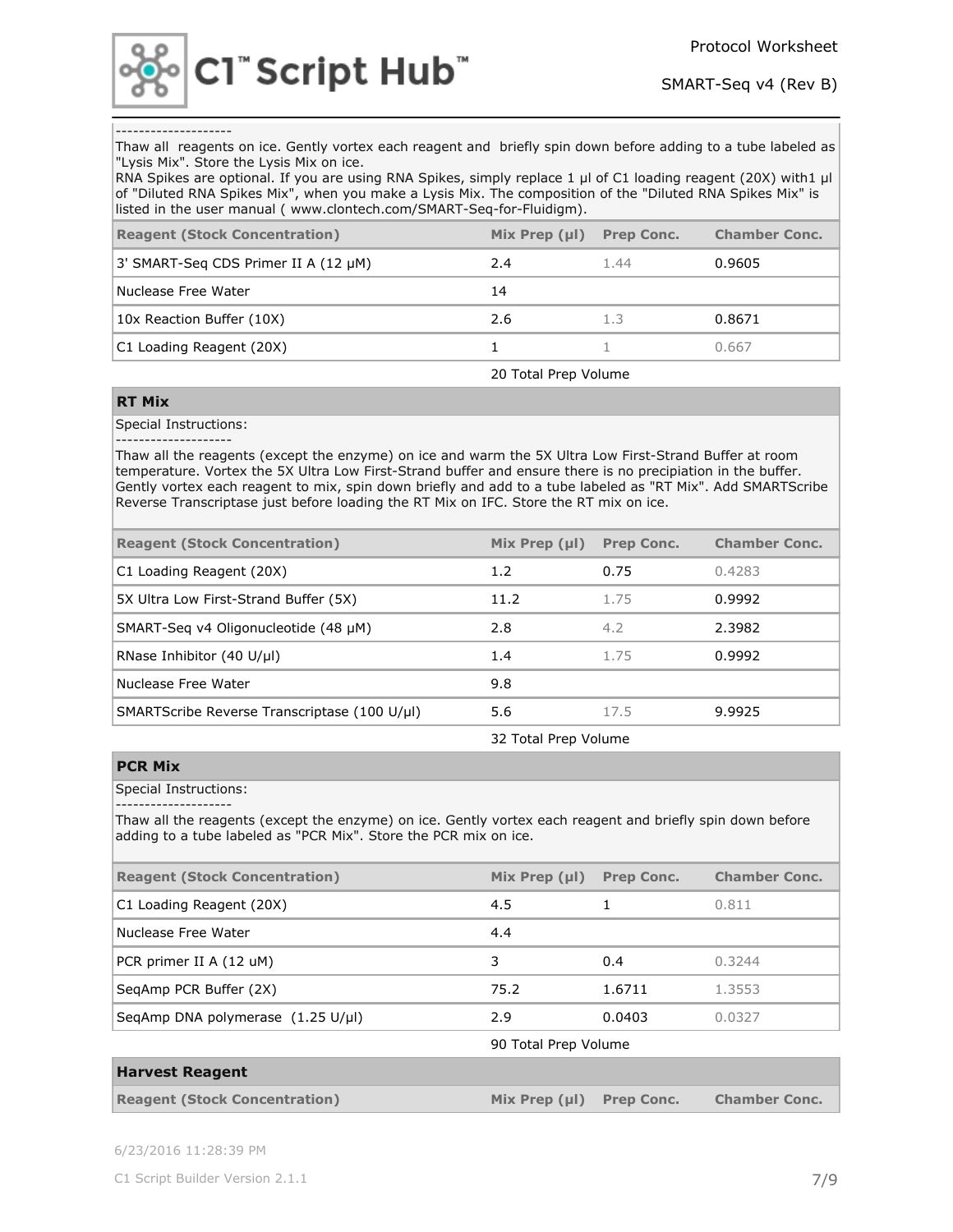

#### --------------------

Thaw all reagents on ice. Gently vortex each reagent and briefly spin down before adding to a tube labeled as "Lysis Mix". Store the Lysis Mix on ice.

RNA Spikes are optional. If you are using RNA Spikes, simply replace 1 µl of C1 loading reagent (20X) with1 µl of "Diluted RNA Spikes Mix", when you make a Lysis Mix. The composition of the "Diluted RNA Spikes Mix" is listed in the user manual ( www.clontech.com/SMART-Seq-for-Fluidigm).

| <b>Reagent (Stock Concentration)</b> | Mix Prep $(\mu I)$ | <b>Prep Conc.</b> | <b>Chamber Conc.</b> |
|--------------------------------------|--------------------|-------------------|----------------------|
| 3' SMART-Seg CDS Primer II A (12 µM) | 2.4                | 1.44              | 0.9605               |
| Nuclease Free Water                  | 14                 |                   |                      |
| 10x Reaction Buffer (10X)            | 2.6                | 1.3               | 0.8671               |
| C1 Loading Reagent (20X)             |                    |                   | 0.667                |

20 Total Prep Volume

#### **RT Mix**

Special Instructions:

--------------------

Thaw all the reagents (except the enzyme) on ice and warm the 5X Ultra Low First-Strand Buffer at room temperature. Vortex the 5X Ultra Low First-Strand buffer and ensure there is no precipiation in the buffer. Gently vortex each reagent to mix, spin down briefly and add to a tube labeled as "RT Mix". Add SMARTScribe Reverse Transcriptase just before loading the RT Mix on IFC. Store the RT mix on ice.

| <b>Reagent (Stock Concentration)</b>         | Mix Prep $(\mu I)$ | <b>Prep Conc.</b> | <b>Chamber Conc.</b> |
|----------------------------------------------|--------------------|-------------------|----------------------|
| C1 Loading Reagent (20X)                     | 1.2                | 0.75              | 0.4283               |
| 5X Ultra Low First-Strand Buffer (5X)        | 11.2               | 1.75              | 0.9992               |
| SMART-Seg v4 Oligonucleotide (48 µM)         | 2.8                | 4.2               | 2.3982               |
| RNase Inhibitor (40 U/µl)                    | 1.4                | 1.75              | 0.9992               |
| Nuclease Free Water                          | 9.8                |                   |                      |
| SMARTScribe Reverse Transcriptase (100 U/µl) | 5.6                | 17.5              | 9.9925               |

32 Total Prep Volume

#### **PCR Mix**

Special Instructions:

--------------------

Thaw all the reagents (except the enzyme) on ice. Gently vortex each reagent and briefly spin down before adding to a tube labeled as "PCR Mix". Store the PCR mix on ice.

| <b>Reagent (Stock Concentration)</b>                 | Mix Prep $(\mu I)$   | <b>Prep Conc.</b> | <b>Chamber Conc.</b> |
|------------------------------------------------------|----------------------|-------------------|----------------------|
| C1 Loading Reagent (20X)                             | 4.5                  |                   | 0.811                |
| Nuclease Free Water                                  | 4.4                  |                   |                      |
| PCR primer II A (12 uM)                              | 3                    | 0.4               | 0.3244               |
| SegAmp PCR Buffer (2X)                               | 75.2                 | 1.6711            | 1.3553               |
| SegAmp DNA polymerase $(1.25 \text{ U/}\mu\text{I})$ | 2.9                  | 0.0403            | 0.0327               |
|                                                      | 90 Total Prep Volume |                   |                      |

| <b>Harvest Reagent</b>               |                            |                      |
|--------------------------------------|----------------------------|----------------------|
| <b>Reagent (Stock Concentration)</b> | $Mix Prep (µI)$ Prep Conc. | <b>Chamber Conc.</b> |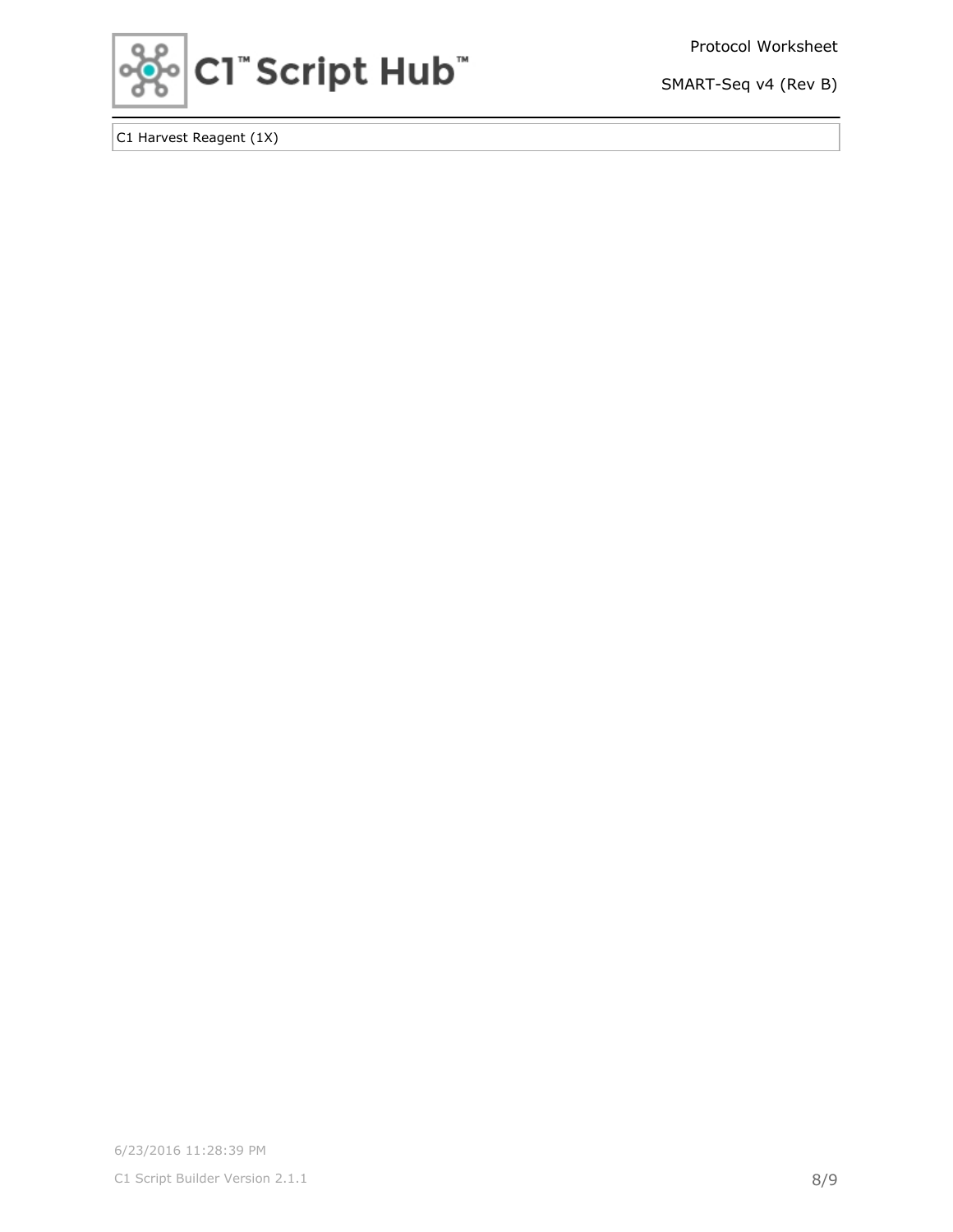Protocol Worksheet



SMART-Seq v4 (Rev B)

C1 Harvest Reagent (1X)